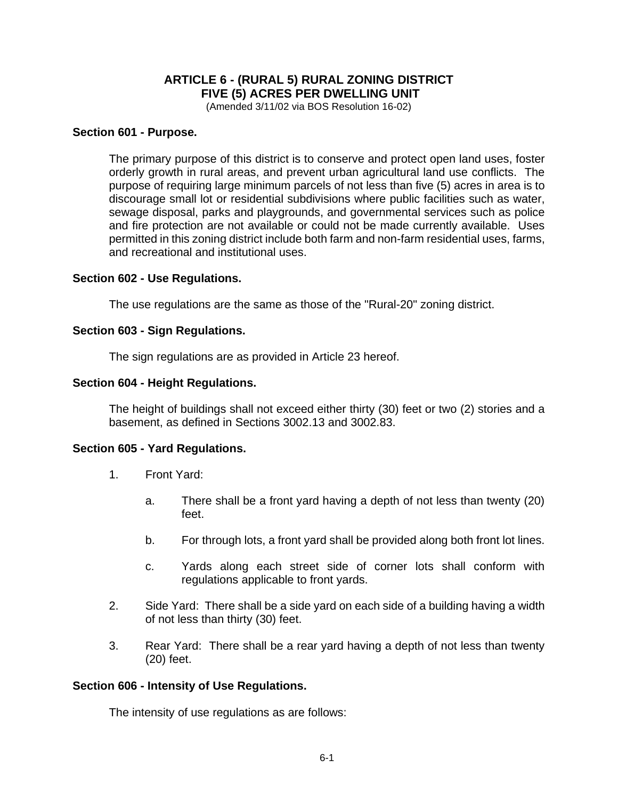# **ARTICLE 6 - (RURAL 5) RURAL ZONING DISTRICT FIVE (5) ACRES PER DWELLING UNIT**

(Amended 3/11/02 via BOS Resolution 16-02)

## **Section 601 - Purpose.**

The primary purpose of this district is to conserve and protect open land uses, foster orderly growth in rural areas, and prevent urban agricultural land use conflicts. The purpose of requiring large minimum parcels of not less than five (5) acres in area is to discourage small lot or residential subdivisions where public facilities such as water, sewage disposal, parks and playgrounds, and governmental services such as police and fire protection are not available or could not be made currently available. Uses permitted in this zoning district include both farm and non-farm residential uses, farms, and recreational and institutional uses.

### **Section 602 - Use Regulations.**

The use regulations are the same as those of the "Rural-20" zoning district.

### **Section 603 - Sign Regulations.**

The sign regulations are as provided in Article 23 hereof.

### **Section 604 - Height Regulations.**

The height of buildings shall not exceed either thirty (30) feet or two (2) stories and a basement, as defined in Sections 3002.13 and 3002.83.

## **Section 605 - Yard Regulations.**

- 1. Front Yard:
	- a. There shall be a front yard having a depth of not less than twenty (20) feet.
	- b. For through lots, a front yard shall be provided along both front lot lines.
	- c. Yards along each street side of corner lots shall conform with regulations applicable to front yards.
- 2. Side Yard: There shall be a side yard on each side of a building having a width of not less than thirty (30) feet.
- 3. Rear Yard: There shall be a rear yard having a depth of not less than twenty (20) feet.

#### **Section 606 - Intensity of Use Regulations.**

The intensity of use regulations as are follows: